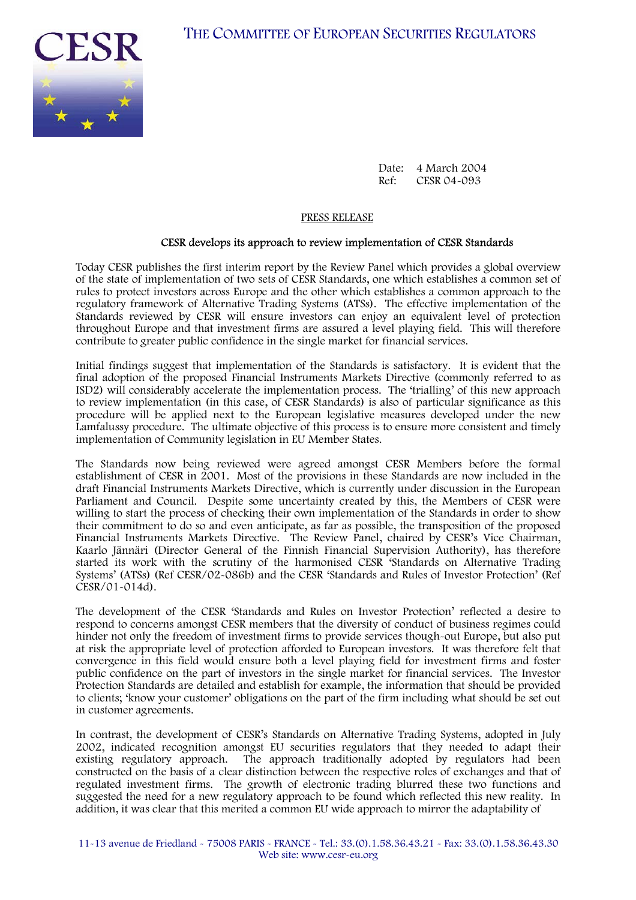

Date: 4 March 2004<br>Ref: CESR 04-093 CESR 04-093

#### PRESS RELEASE

### CESR develops its approach to review implementation of CESR Standards

Today CESR publishes the first interim report by the Review Panel which provides a global overview of the state of implementation of two sets of CESR Standards, one which establishes a common set of rules to protect investors across Europe and the other which establishes a common approach to the regulatory framework of Alternative Trading Systems (ATSs). The effective implementation of the Standards reviewed by CESR will ensure investors can enjoy an equivalent level of protection throughout Europe and that investment firms are assured a level playing field. This will therefore contribute to greater public confidence in the single market for financial services.

Initial findings suggest that implementation of the Standards is satisfactory. It is evident that the final adoption of the proposed Financial Instruments Markets Directive (commonly referred to as ISD2) will considerably accelerate the implementation process. The 'trialling' of this new approach to review implementation (in this case, of CESR Standards) is also of particular significance as this procedure will be applied next to the European legislative measures developed under the new Lamfalussy procedure. The ultimate objective of this process is to ensure more consistent and timely implementation of Community legislation in EU Member States.

The Standards now being reviewed were agreed amongst CESR Members before the formal establishment of CESR in 2001. Most of the provisions in these Standards are now included in the draft Financial Instruments Markets Directive, which is currently under discussion in the European Parliament and Council. Despite some uncertainty created by this, the Members of CESR were willing to start the process of checking their own implementation of the Standards in order to show their commitment to do so and even anticipate, as far as possible, the transposition of the proposed Financial Instruments Markets Directive. The Review Panel, chaired by CESR's Vice Chairman, Kaarlo Jännäri (Director General of the Finnish Financial Supervision Authority), has therefore started its work with the scrutiny of the harmonised CESR 'Standards on Alternative Trading Systems' (ATSs) (Ref CESR/02-086b) and the CESR 'Standards and Rules of Investor Protection' (Ref CESR/01-014d).

The development of the CESR 'Standards and Rules on Investor Protection' reflected a desire to respond to concerns amongst CESR members that the diversity of conduct of business regimes could hinder not only the freedom of investment firms to provide services though-out Europe, but also put at risk the appropriate level of protection afforded to European investors. It was therefore felt that convergence in this field would ensure both a level playing field for investment firms and foster public confidence on the part of investors in the single market for financial services. The Investor Protection Standards are detailed and establish for example, the information that should be provided to clients; 'know your customer' obligations on the part of the firm including what should be set out in customer agreements.

In contrast, the development of CESR's Standards on Alternative Trading Systems, adopted in July 2002, indicated recognition amongst EU securities regulators that they needed to adapt their existing regulatory approach. The approach traditionally adopted by regulators had been The approach traditionally adopted by regulators had been constructed on the basis of a clear distinction between the respective roles of exchanges and that of regulated investment firms. The growth of electronic trading blurred these two functions and suggested the need for a new regulatory approach to be found which reflected this new reality. In addition, it was clear that this merited a common EU wide approach to mirror the adaptability of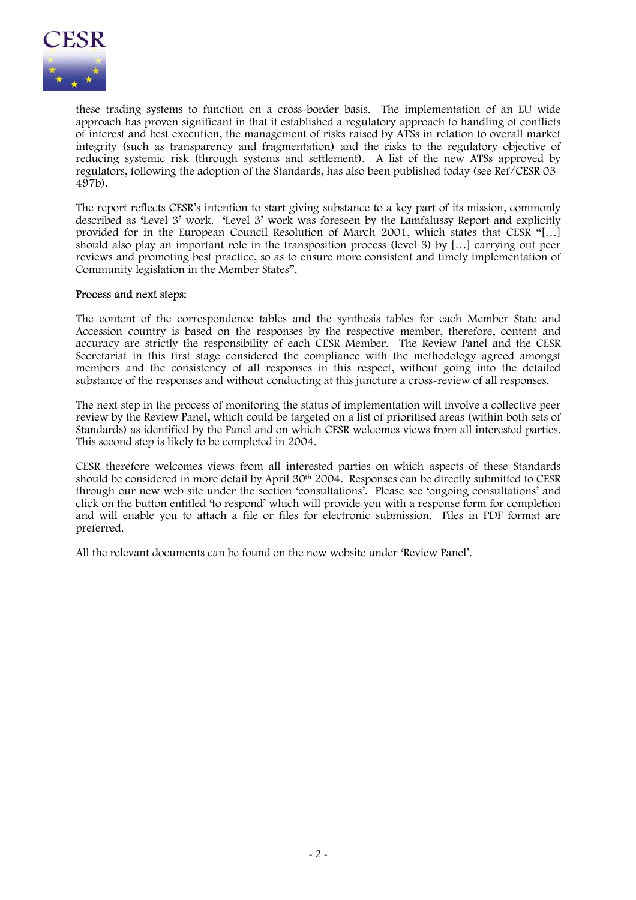

these trading systems to function on a cross-border basis. The implementation of an EU wide approach has proven significant in that it established a regulatory approach to handling of conflicts of interest and best execution, the management of risks raised by ATSs in relation to overall market integrity (such as transparency and fragmentation) and the risks to the regulatory objective of reducing systemic risk (through systems and settlement). A list of the new ATSs approved by regulators, following the adoption of the Standards, has also been published today (see Ref/CESR 03- 497b).

The report reflects CESR's intention to start giving substance to a key part of its mission, commonly described as 'Level 3' work. 'Level 3' work was foreseen by the Lamfalussy Report and explicitly provided for in the European Council Resolution of March 2001, which states that CESR "[…] should also play an important role in the transposition process (level 3) by […] carrying out peer reviews and promoting best practice, so as to ensure more consistent and timely implementation of Community legislation in the Member States".

### Process and next steps:

The content of the correspondence tables and the synthesis tables for each Member State and Accession country is based on the responses by the respective member, therefore, content and accuracy are strictly the responsibility of each CESR Member. The Review Panel and the CESR Secretariat in this first stage considered the compliance with the methodology agreed amongst members and the consistency of all responses in this respect, without going into the detailed substance of the responses and without conducting at this juncture a cross-review of all responses.

The next step in the process of monitoring the status of implementation will involve a collective peer review by the Review Panel, which could be targeted on a list of prioritised areas (within both sets of Standards) as identified by the Panel and on which CESR welcomes views from all interested parties. This second step is likely to be completed in 2004.

CESR therefore welcomes views from all interested parties on which aspects of these Standards should be considered in more detail by April 30<sup>th</sup> 2004. Responses can be directly submitted to CESR through our new web site under the section 'consultations'. Please see 'ongoing consultations' and click on the button entitled 'to respond' which will provide you with a response form for completion and will enable you to attach a file or files for electronic submission. Files in PDF format are preferred.

All the relevant documents can be found on the new website under 'Review Panel'.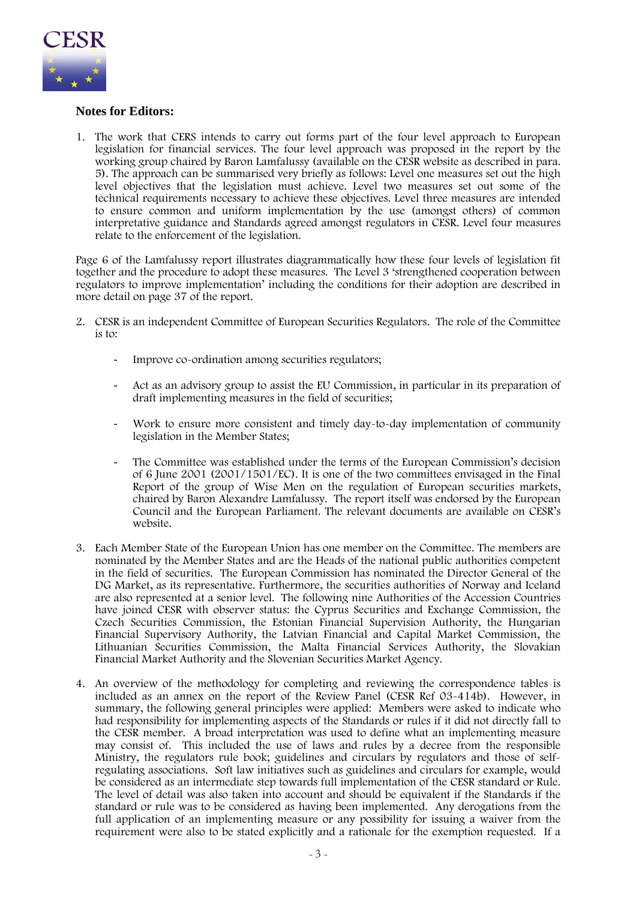

# **Notes for Editors:**

1. The work that CERS intends to carry out forms part of the four level approach to European legislation for financial services. The four level approach was proposed in the report by the working group chaired by Baron Lamfalussy (available on the CESR website as described in para. 5). The approach can be summarised very briefly as follows: Level one measures set out the high level objectives that the legislation must achieve. Level two measures set out some of the technical requirements necessary to achieve these objectives. Level three measures are intended to ensure common and uniform implementation by the use (amongst others) of common interpretative guidance and Standards agreed amongst regulators in CESR. Level four measures relate to the enforcement of the legislation.

Page 6 of the Lamfalussy report illustrates diagrammatically how these four levels of legislation fit together and the procedure to adopt these measures. The Level 3 'strengthened cooperation between regulators to improve implementation' including the conditions for their adoption are described in more detail on page 37 of the report.

- 2. CESR is an independent Committee of European Securities Regulators. The role of the Committee is to:
	- Improve co-ordination among securities regulators;
	- Act as an advisory group to assist the EU Commission, in particular in its preparation of draft implementing measures in the field of securities;
	- Work to ensure more consistent and timely day-to-day implementation of community legislation in the Member States;
	- The Committee was established under the terms of the European Commission's decision of 6 June 2001 (2001/1501/EC). It is one of the two committees envisaged in the Final Report of the group of Wise Men on the regulation of European securities markets, chaired by Baron Alexandre Lamfalussy. The report itself was endorsed by the European Council and the European Parliament. The relevant documents are available on CESR's website.
- 3. Each Member State of the European Union has one member on the Committee. The members are nominated by the Member States and are the Heads of the national public authorities competent in the field of securities. The European Commission has nominated the Director General of the DG Market, as its representative. Furthermore, the securities authorities of Norway and Iceland are also represented at a senior level. The following nine Authorities of the Accession Countries have joined CESR with observer status: the Cyprus Securities and Exchange Commission, the Czech Securities Commission, the Estonian Financial Supervision Authority, the Hungarian Financial Supervisory Authority, the Latvian Financial and Capital Market Commission, the Lithuanian Securities Commission, the Malta Financial Services Authority, the Slovakian Financial Market Authority and the Slovenian Securities Market Agency.
- 4. An overview of the methodology for completing and reviewing the correspondence tables is included as an annex on the report of the Review Panel (CESR Ref 03-414b). However, in summary, the following general principles were applied: Members were asked to indicate who had responsibility for implementing aspects of the Standards or rules if it did not directly fall to the CESR member. A broad interpretation was used to define what an implementing measure may consist of. This included the use of laws and rules by a decree from the responsible Ministry, the regulators rule book; guidelines and circulars by regulators and those of selfregulating associations. Soft law initiatives such as guidelines and circulars for example, would be considered as an intermediate step towards full implementation of the CESR standard or Rule. The level of detail was also taken into account and should be equivalent if the Standards if the standard or rule was to be considered as having been implemented. Any derogations from the full application of an implementing measure or any possibility for issuing a waiver from the requirement were also to be stated explicitly and a rationale for the exemption requested. If a